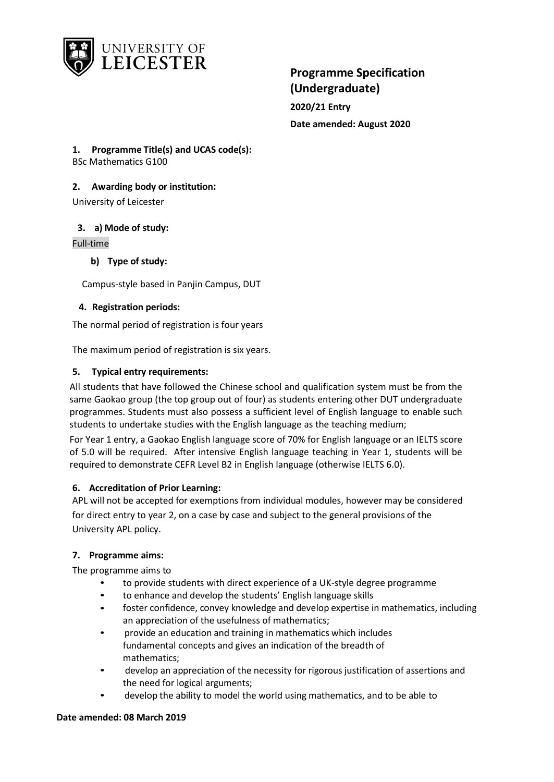

**2020/21 Entry Date amended: August 2020**

**1. Programme Title(s) and UCAS code(s):** BSc Mathematics G100

## **2. Awarding body or institution:**

University of Leicester

**3. a) Mode of study:**

Full-time

**b) Type of study:**

Campus-style based in Panjin Campus, DUT

### **4. Registration periods:**

The normal period of registration is four years

The maximum period of registration is six years.

### **5. Typical entry requirements:**

All students that have followed the Chinese school and qualification system must be from the same Gaokao group (the top group out of four) as students entering other DUT undergraduate programmes. Students must also possess a sufficient level of English language to enable such students to undertake studies with the English language as the teaching medium;

For Year 1 entry, a Gaokao English language score of 70% for English language or an IELTS score of 5.0 will be required. After intensive English language teaching in Year 1, students will be required to demonstrate CEFR Level B2 in English language (otherwise IELTS 6.0).

### **6. Accreditation of Prior Learning:**

APL will not be accepted for exemptions from individual modules, however may be considered for direct entry to year 2, on a case by case and subject to the general provisions of the University APL policy.

## **7. Programme aims:**

The programme aims to

- to provide students with direct experience of a UK-style degree programme
- to enhance and develop the students' English language skills
- foster confidence, convey knowledge and develop expertise in mathematics, including an appreciation of the usefulness of mathematics;
- provide an education and training in mathematics which includes fundamental concepts and gives an indication of the breadth of mathematics;
- develop an appreciation of the necessity for rigorous justification of assertions and the need for logical arguments;
- develop the ability to model the world using mathematics, and to be able to

### **Date amended: 08 March 2019**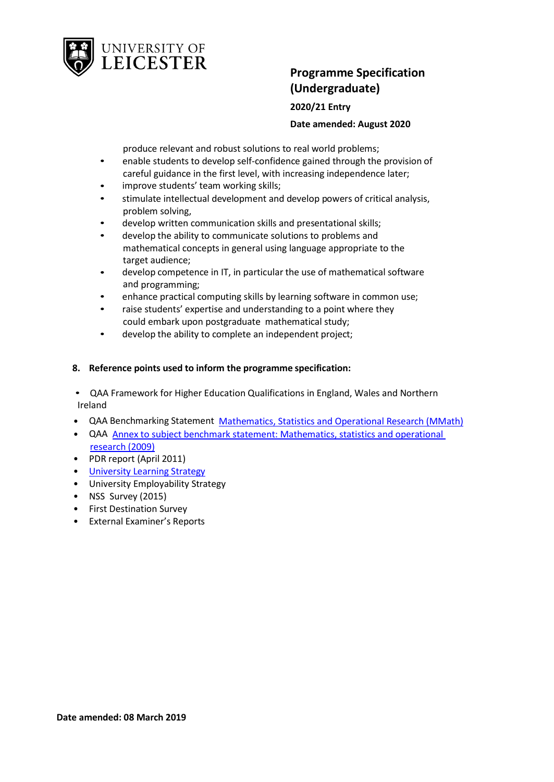

**2020/21 Entry Date amended: August 2020**

produce relevant and robust solutions to real world problems;

- enable students to develop self-confidence gained through the provision of careful guidance in the first level, with increasing independence later;
- improve students' team working skills;
- stimulate intellectual development and develop powers of critical analysis, problem solving,
- develop written communication skills and presentational skills;
- develop the ability to communicate solutions to problems and mathematical concepts in general using language appropriate to the target audience;
- develop competence in IT, in particular the use of mathematical software and programming;
- enhance practical computing skills by learning software in common use;
- raise students' expertise and understanding to a point where they could embark upon postgraduate mathematical study;
- develop the ability to complete an independent project;

## **8. Reference points used to inform the programme specification:**

• QAA Framework for Higher Education Qualifications in England, Wales and Northern Ireland

- QAA Benchmarking Statement Mathematics, [Statistics and Operational Research](http://www.qaa.ac.uk/en/Publications/Documents/Subject-benchmark-statement-Mathematics-statistics-and-operational-research.pdf) (MMath)
- QAA Annex to subject benchmark statement: Mathematics, statistics [and operational](http://www.qaa.ac.uk/en/Publications/Documents/Annex-to-Subject-benchmark-statement-Mathematics-statistics-and-operational-research.pdf) [research](http://www.qaa.ac.uk/en/Publications/Documents/Annex-to-Subject-benchmark-statement-Mathematics-statistics-and-operational-research.pdf) (2009)
- PDR report (April 2011)
- University [Learning Strategy](http://www2.le.ac.uk/offices/sas2/quality/learnteach)
- University Employability Strategy
- NSS Survey (2015)
- First Destination Survey
- External Examiner's Reports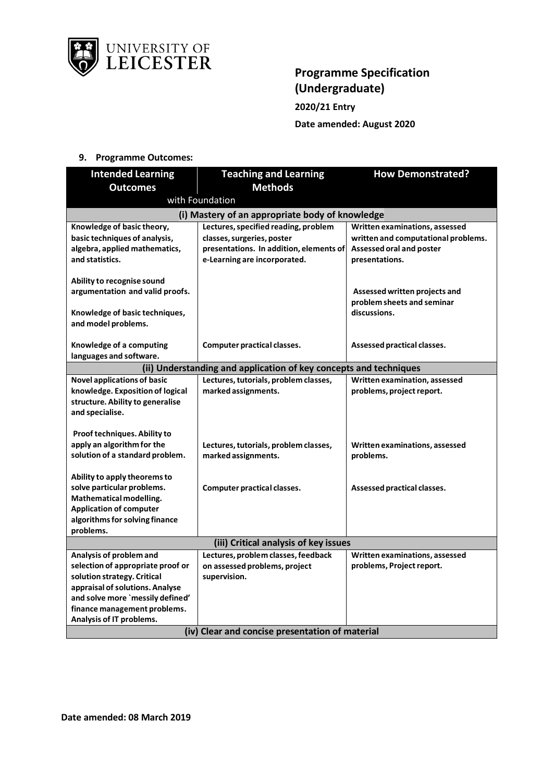

# **Programme Specification (Undergraduate) 2020/21 Entry Date amended: August 2020**

## **9. Programme Outcomes:**

| <b>Intended Learning</b>                        | <b>Teaching and Learning</b>                                      | <b>How Demonstrated?</b>            |
|-------------------------------------------------|-------------------------------------------------------------------|-------------------------------------|
| <b>Outcomes</b>                                 | <b>Methods</b>                                                    |                                     |
|                                                 | with Foundation                                                   |                                     |
|                                                 | (i) Mastery of an appropriate body of knowledge                   |                                     |
| Knowledge of basic theory,                      | Lectures, specified reading, problem                              | Written examinations, assessed      |
| basic techniques of analysis,                   | classes, surgeries, poster                                        | written and computational problems. |
| algebra, applied mathematics,                   | presentations. In addition, elements of                           | Assessed oral and poster            |
| and statistics.                                 | e-Learning are incorporated.                                      | presentations.                      |
| Ability to recognise sound                      |                                                                   |                                     |
| argumentation and valid proofs.                 |                                                                   | Assessed written projects and       |
|                                                 |                                                                   | problem sheets and seminar          |
| Knowledge of basic techniques,                  |                                                                   | discussions.                        |
| and model problems.                             |                                                                   |                                     |
|                                                 |                                                                   |                                     |
| Knowledge of a computing                        | Computer practical classes.                                       | Assessed practical classes.         |
| languages and software.                         |                                                                   |                                     |
|                                                 | (ii) Understanding and application of key concepts and techniques |                                     |
| <b>Novel applications of basic</b>              | Lectures, tutorials, problem classes,                             | Written examination, assessed       |
| knowledge. Exposition of logical                | marked assignments.                                               | problems, project report.           |
| structure. Ability to generalise                |                                                                   |                                     |
| and specialise.                                 |                                                                   |                                     |
| Proof techniques. Ability to                    |                                                                   |                                     |
| apply an algorithm for the                      | Lectures, tutorials, problem classes,                             | Written examinations, assessed      |
| solution of a standard problem.                 | marked assignments.                                               | problems.                           |
|                                                 |                                                                   |                                     |
| Ability to apply theorems to                    |                                                                   |                                     |
| solve particular problems.                      | Computer practical classes.                                       | Assessed practical classes.         |
| Mathematical modelling.                         |                                                                   |                                     |
| <b>Application of computer</b>                  |                                                                   |                                     |
| algorithms for solving finance                  |                                                                   |                                     |
| problems.                                       |                                                                   |                                     |
| (iii) Critical analysis of key issues           |                                                                   |                                     |
| Analysis of problem and                         | Lectures, problem classes, feedback                               | Written examinations, assessed      |
| selection of appropriate proof or               | on assessed problems, project                                     | problems, Project report.           |
| solution strategy. Critical                     | supervision.                                                      |                                     |
| appraisal of solutions. Analyse                 |                                                                   |                                     |
| and solve more `messily defined'                |                                                                   |                                     |
| finance management problems.                    |                                                                   |                                     |
| Analysis of IT problems.                        |                                                                   |                                     |
| (iv) Clear and concise presentation of material |                                                                   |                                     |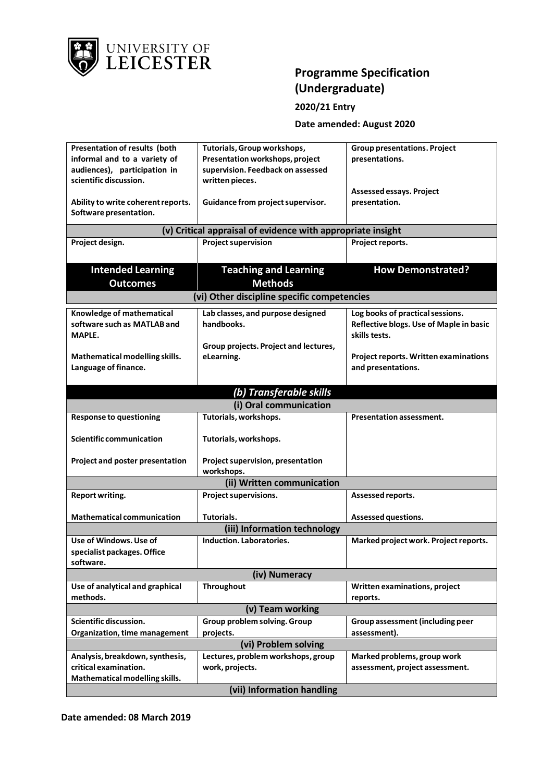

## **2020/21 Entry**

## **Date amended: August 2020**

| Presentation of results (both      | Tutorials, Group workshops,                                 | <b>Group presentations. Project</b>          |
|------------------------------------|-------------------------------------------------------------|----------------------------------------------|
| informal and to a variety of       | Presentation workshops, project                             | presentations.                               |
| audiences), participation in       | supervision. Feedback on assessed                           |                                              |
| scientific discussion.             | written pieces.                                             |                                              |
|                                    |                                                             | Assessed essays. Project                     |
| Ability to write coherent reports. | Guidance from project supervisor.                           | presentation.                                |
| Software presentation.             |                                                             |                                              |
|                                    |                                                             |                                              |
|                                    | (v) Critical appraisal of evidence with appropriate insight |                                              |
| Project design.                    | <b>Project supervision</b>                                  | Project reports.                             |
|                                    |                                                             |                                              |
| <b>Intended Learning</b>           | <b>Teaching and Learning</b>                                | <b>How Demonstrated?</b>                     |
|                                    |                                                             |                                              |
| <b>Outcomes</b>                    | <b>Methods</b>                                              |                                              |
|                                    | (vi) Other discipline specific competencies                 |                                              |
| Knowledge of mathematical          | Lab classes, and purpose designed                           | Log books of practical sessions.             |
| software such as MATLAB and        | handbooks.                                                  | Reflective blogs. Use of Maple in basic      |
| MAPLE.                             |                                                             | skills tests.                                |
|                                    | Group projects. Project and lectures,                       |                                              |
| Mathematical modelling skills.     | eLearning.                                                  | <b>Project reports. Written examinations</b> |
| Language of finance.               |                                                             | and presentations.                           |
|                                    |                                                             |                                              |
|                                    |                                                             |                                              |
|                                    | (b) Transferable skills                                     |                                              |
|                                    | (i) Oral communication                                      |                                              |
| <b>Response to questioning</b>     | Tutorials, workshops.                                       | <b>Presentation assessment.</b>              |
| <b>Scientific communication</b>    |                                                             |                                              |
|                                    | Tutorials, workshops.                                       |                                              |
| Project and poster presentation    | Project supervision, presentation                           |                                              |
|                                    | workshops.                                                  |                                              |
|                                    | (ii) Written communication                                  |                                              |
|                                    |                                                             |                                              |
| <b>Report writing.</b>             | Project supervisions.                                       | Assessed reports.                            |
| <b>Mathematical communication</b>  | Tutorials.                                                  | Assessed questions.                          |
|                                    |                                                             |                                              |
|                                    | (iii) Information technology                                |                                              |
| Use of Windows. Use of             | Induction. Laboratories.                                    | Marked project work. Project reports.        |
| specialist packages. Office        |                                                             |                                              |
| software.                          |                                                             |                                              |
| (iv) Numeracy                      |                                                             |                                              |
| Use of analytical and graphical    | <b>Throughout</b>                                           | Written examinations, project                |
| methods.                           |                                                             | reports.                                     |
| (v) Team working                   |                                                             |                                              |
| Scientific discussion.             | Group problem solving. Group                                | Group assessment (including peer             |
| Organization, time management      | projects.                                                   | assessment).                                 |
| (vi) Problem solving               |                                                             |                                              |
| Analysis, breakdown, synthesis,    | Lectures, problem workshops, group                          | Marked problems, group work                  |
| critical examination.              | work, projects.                                             | assessment, project assessment.              |
| Mathematical modelling skills.     |                                                             |                                              |
| (vii) Information handling         |                                                             |                                              |

**Date amended: 08 March 2019**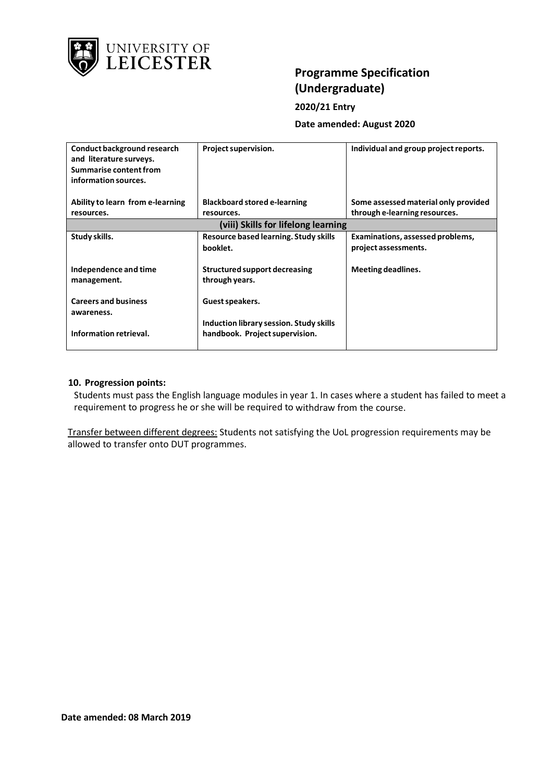

## **2020/21 Entry**

**Date amended: August 2020**

| Conduct background research<br>and literature surveys.<br>Summarise content from<br>information sources. | Project supervision.                                                      | Individual and group project reports. |
|----------------------------------------------------------------------------------------------------------|---------------------------------------------------------------------------|---------------------------------------|
| Ability to learn from e-learning                                                                         | <b>Blackboard stored e-learning</b>                                       | Some assessed material only provided  |
| resources.                                                                                               | resources.                                                                | through e-learning resources.         |
|                                                                                                          | (viii) Skills for lifelong learning                                       |                                       |
| Study skills.                                                                                            | Resource based learning. Study skills                                     | Examinations, assessed problems,      |
|                                                                                                          | booklet.                                                                  | project assessments.                  |
| Independence and time<br>management.                                                                     | Structured support decreasing<br>through years.                           | Meeting deadlines.                    |
| <b>Careers and business</b><br>awareness.                                                                | Guest speakers.                                                           |                                       |
| Information retrieval.                                                                                   | Induction library session. Study skills<br>handbook. Project supervision. |                                       |

### **10. Progression points:**

Students must pass the English language modules in year 1. In cases where a student has failed to meet a requirement to progress he or she will be required to withdraw from the course.

Transfer between different degrees: Students not satisfying the UoL progression requirements may be allowed to transfer onto DUT programmes.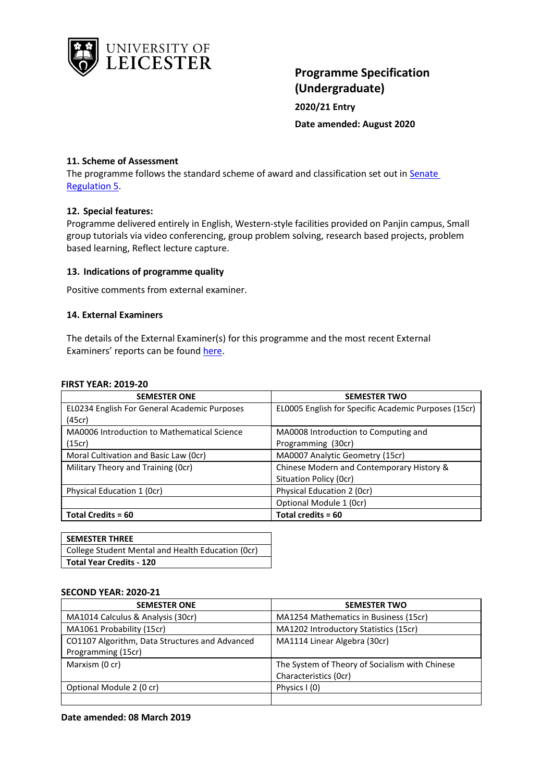

# **Programme Specification (Undergraduate) 2020/21 Entry Date amended: August 2020**

### **11. Scheme of Assessment**

The programme follows the standard scheme of award and classification set out i[n Senate](http://www2.le.ac.uk/offices/sas2/regulations/general-regulations-for-taught-programmes) [Regulation](http://www2.le.ac.uk/offices/sas2/regulations/general-regulations-for-taught-programmes) 5.

### **12. Special features:**

Programme delivered entirely in English, Western-style facilities provided on Panjin campus, Small group tutorials via video conferencing, group problem solving, research based projects, problem based learning, Reflect lecture capture.

### **13. Indications of programme quality**

Positive comments from external examiner.

### **14. External Examiners**

The details of the External Examiner(s) for this programme and the most recent External Examiners' reports can be found [here.](https://exampapers.le.ac.uk/xmlui/handle/123456789/169)

#### **FIRST YEAR: 2019-20**

| <b>SEMESTER ONE</b>                          | <b>SEMESTER TWO</b>                                  |
|----------------------------------------------|------------------------------------------------------|
| EL0234 English For General Academic Purposes | EL0005 English for Specific Academic Purposes (15cr) |
| (45cr)                                       |                                                      |
| MA0006 Introduction to Mathematical Science  | MA0008 Introduction to Computing and                 |
| (15cr)                                       | Programming (30cr)                                   |
| Moral Cultivation and Basic Law (Ocr)        | MA0007 Analytic Geometry (15cr)                      |
| Military Theory and Training (Ocr)           | Chinese Modern and Contemporary History &            |
|                                              | Situation Policy (Ocr)                               |
| Physical Education 1 (Ocr)                   | Physical Education 2 (Ocr)                           |
|                                              | Optional Module 1 (0cr)                              |
| Total Credits = 60                           | Total credits = 60                                   |

| <b>SEMESTER THREE</b>                             |
|---------------------------------------------------|
| College Student Mental and Health Education (Ocr) |
| <b>Total Year Credits - 120</b>                   |

#### **SECOND YEAR: 2020-21**

| <b>SEMESTER ONE</b>                            | <b>SEMESTER TWO</b>                            |
|------------------------------------------------|------------------------------------------------|
| MA1014 Calculus & Analysis (30cr)              | MA1254 Mathematics in Business (15cr)          |
| MA1061 Probability (15cr)                      | MA1202 Introductory Statistics (15cr)          |
| CO1107 Algorithm, Data Structures and Advanced | MA1114 Linear Algebra (30cr)                   |
| Programming (15cr)                             |                                                |
| Marxism (0 cr)                                 | The System of Theory of Socialism with Chinese |
|                                                | Characteristics (Ocr)                          |
| Optional Module 2 (0 cr)                       | Physics $(0)$                                  |
|                                                |                                                |

### **Date amended: 08 March 2019**